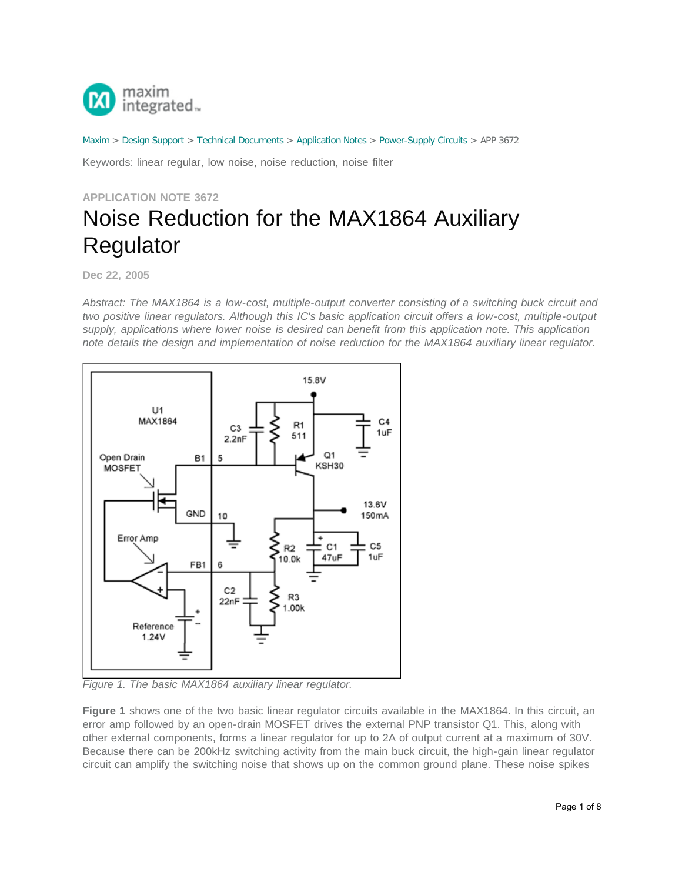

[Maxim](http://www.maximintegrated.com/) > [Design Support](http://www.maximintegrated.com/design/) > [Technical Documents](http://www.maximintegrated.com/design/techdocs/) > [Application Notes](http://www.maximintegrated.com/design/techdocs/app-notes/index.mvp) > [Power-Supply Circuits](http://www.maximintegrated.com/design/techdocs/app-notes/index.mvp/id/20/c/Power-Supply%20Circuits#c20) > APP 3672

Keywords: linear regular, low noise, noise reduction, noise filter

## **APPLICATION NOTE 3672** Noise Reduction for the MAX1864 Auxiliary Regulator

**Dec 22, 2005**

*Abstract: The MAX1864 is a low-cost, multiple-output converter consisting of a switching buck circuit and two positive linear regulators. Although this IC's basic application circuit offers a low-cost, multiple-output supply, applications where lower noise is desired can benefit from this application note. This application note details the design and implementation of noise reduction for the MAX1864 auxiliary linear regulator.*



*Figure 1. The basic MAX1864 auxiliary linear regulator.* 

**Figure 1** shows one of the two basic linear regulator circuits available in the MAX1864. In this circuit, an error amp followed by an open-drain MOSFET drives the external PNP transistor Q1. This, along with other external components, forms a linear regulator for up to 2A of output current at a maximum of 30V. Because there can be 200kHz switching activity from the main buck circuit, the high-gain linear regulator circuit can amplify the switching noise that shows up on the common ground plane. These noise spikes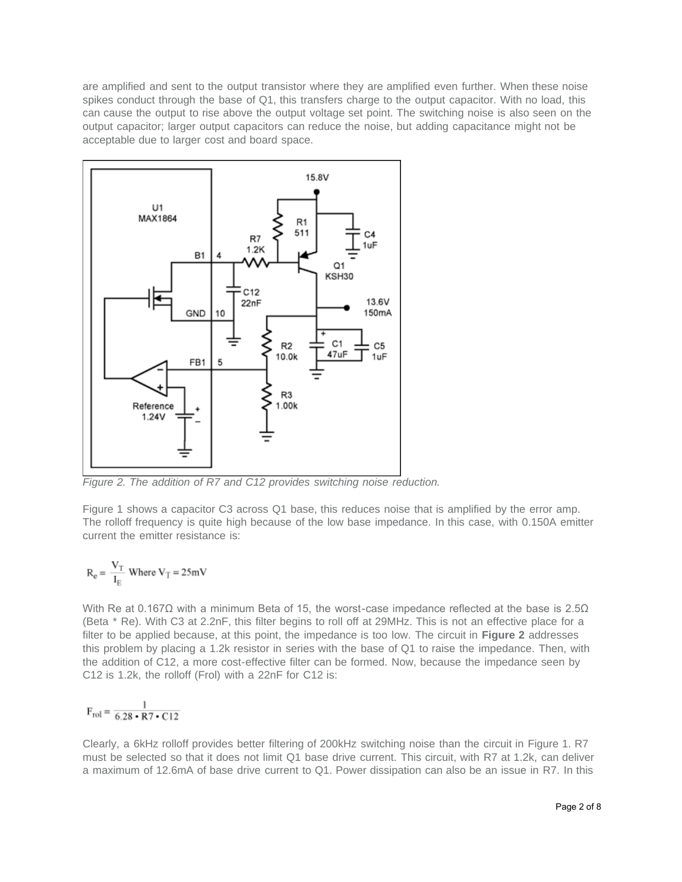are amplified and sent to the output transistor where they are amplified even further. When these noise spikes conduct through the base of Q1, this transfers charge to the output capacitor. With no load, this can cause the output to rise above the output voltage set point. The switching noise is also seen on the output capacitor; larger output capacitors can reduce the noise, but adding capacitance might not be acceptable due to larger cost and board space.



*Figure 2. The addition of R7 and C12 provides switching noise reduction.* 

Figure 1 shows a capacitor C3 across Q1 base, this reduces noise that is amplified by the error amp. The rolloff frequency is quite high because of the low base impedance. In this case, with 0.150A emitter current the emitter resistance is:

$$
R_e = \frac{V_T}{I_E}
$$
 Where  $V_T = 25 \text{mV}$ 

With Re at 0.167Ω with a minimum Beta of 15, the worst-case impedance reflected at the base is 2.5Ω (Beta \* Re). With C3 at 2.2nF, this filter begins to roll off at 29MHz. This is not an effective place for a filter to be applied because, at this point, the impedance is too low. The circuit in **Figure 2** addresses this problem by placing a 1.2k resistor in series with the base of Q1 to raise the impedance. Then, with the addition of C12, a more cost-effective filter can be formed. Now, because the impedance seen by C12 is 1.2k, the rolloff (Frol) with a 22nF for C12 is:

$$
\mathrm{F}_{\mathrm{rol}} = \frac{1}{6.28 \cdot \mathrm{R7} \cdot \mathrm{C12}}
$$

Clearly, a 6kHz rolloff provides better filtering of 200kHz switching noise than the circuit in Figure 1. R7 must be selected so that it does not limit Q1 base drive current. This circuit, with R7 at 1.2k, can deliver a maximum of 12.6mA of base drive current to Q1. Power dissipation can also be an issue in R7. In this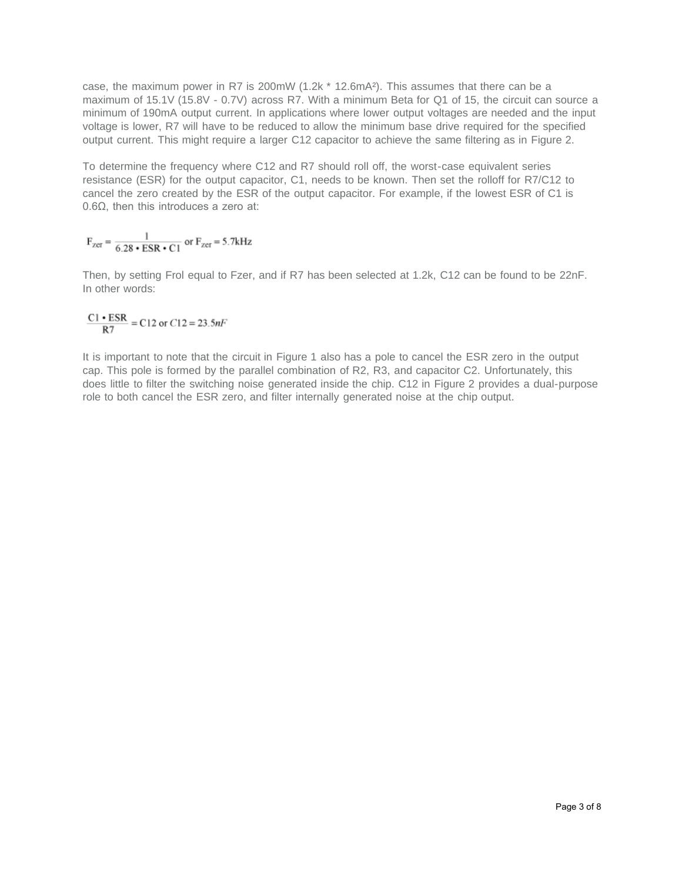case, the maximum power in R7 is 200mW (1.2k \* 12.6mA²). This assumes that there can be a maximum of 15.1V (15.8V - 0.7V) across R7. With a minimum Beta for Q1 of 15, the circuit can source a minimum of 190mA output current. In applications where lower output voltages are needed and the input voltage is lower, R7 will have to be reduced to allow the minimum base drive required for the specified output current. This might require a larger C12 capacitor to achieve the same filtering as in Figure 2.

To determine the frequency where C12 and R7 should roll off, the worst-case equivalent series resistance (ESR) for the output capacitor, C1, needs to be known. Then set the rolloff for R7/C12 to cancel the zero created by the ESR of the output capacitor. For example, if the lowest ESR of C1 is 0.6Ω, then this introduces a zero at:

 $F_{\text{zer}} = \frac{1}{6.28 \cdot \text{ESR} \cdot \text{C1}}$  or  $F_{\text{zer}} = 5.7 \text{kHz}$ 

Then, by setting Frol equal to Fzer, and if R7 has been selected at 1.2k, C12 can be found to be 22nF. In other words:

$$
\frac{C1 \cdot ESR}{R7} = C12 \text{ or } C12 = 23.5nF
$$

It is important to note that the circuit in Figure 1 also has a pole to cancel the ESR zero in the output cap. This pole is formed by the parallel combination of R2, R3, and capacitor C2. Unfortunately, this does little to filter the switching noise generated inside the chip. C12 in Figure 2 provides a dual-purpose role to both cancel the ESR zero, and filter internally generated noise at the chip output.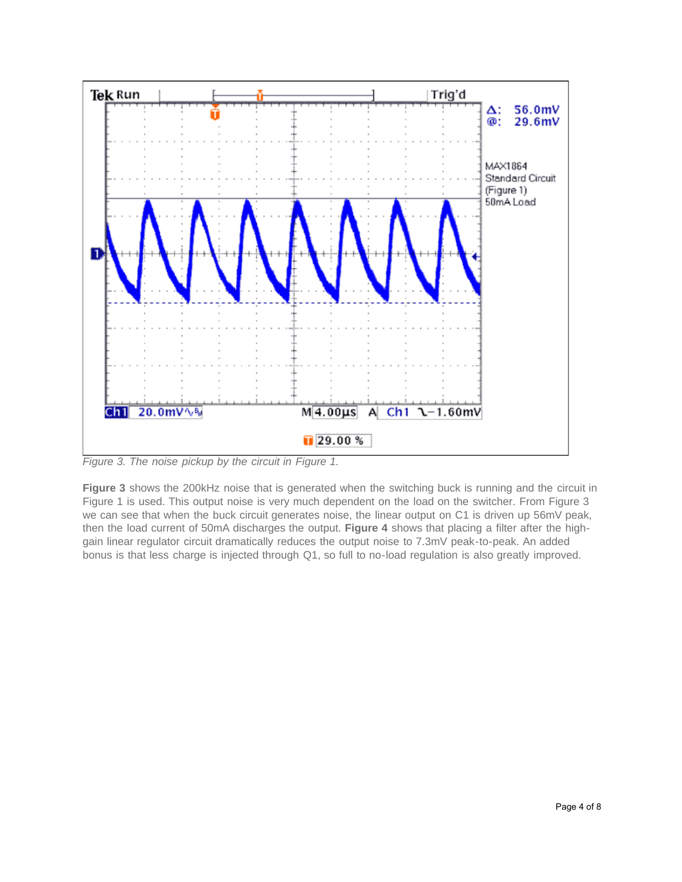

*Figure 3. The noise pickup by the circuit in Figure 1.*

**Figure 3** shows the 200kHz noise that is generated when the switching buck is running and the circuit in Figure 1 is used. This output noise is very much dependent on the load on the switcher. From Figure 3 we can see that when the buck circuit generates noise, the linear output on C1 is driven up 56mV peak, then the load current of 50mA discharges the output. **Figure 4** shows that placing a filter after the highgain linear regulator circuit dramatically reduces the output noise to 7.3mV peak-to-peak. An added bonus is that less charge is injected through Q1, so full to no-load regulation is also greatly improved.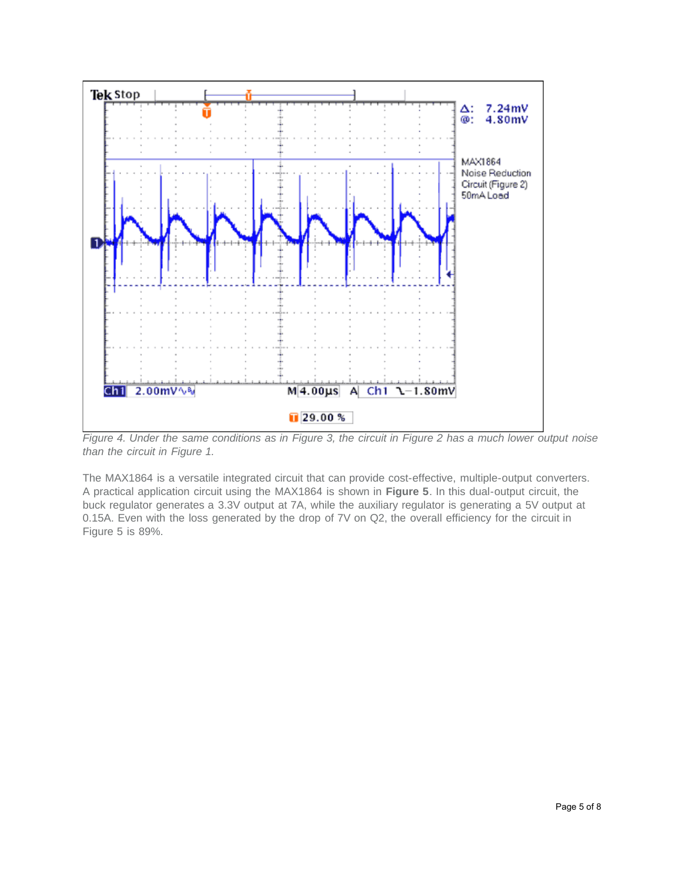

*Figure 4. Under the same conditions as in Figure 3, the circuit in Figure 2 has a much lower output noise than the circuit in Figure 1.* 

The MAX1864 is a versatile integrated circuit that can provide cost-effective, multiple-output converters. A practical application circuit using the MAX1864 is shown in **Figure 5**. In this dual-output circuit, the buck regulator generates a 3.3V output at 7A, while the auxiliary regulator is generating a 5V output at 0.15A. Even with the loss generated by the drop of 7V on Q2, the overall efficiency for the circuit in Figure 5 is 89%.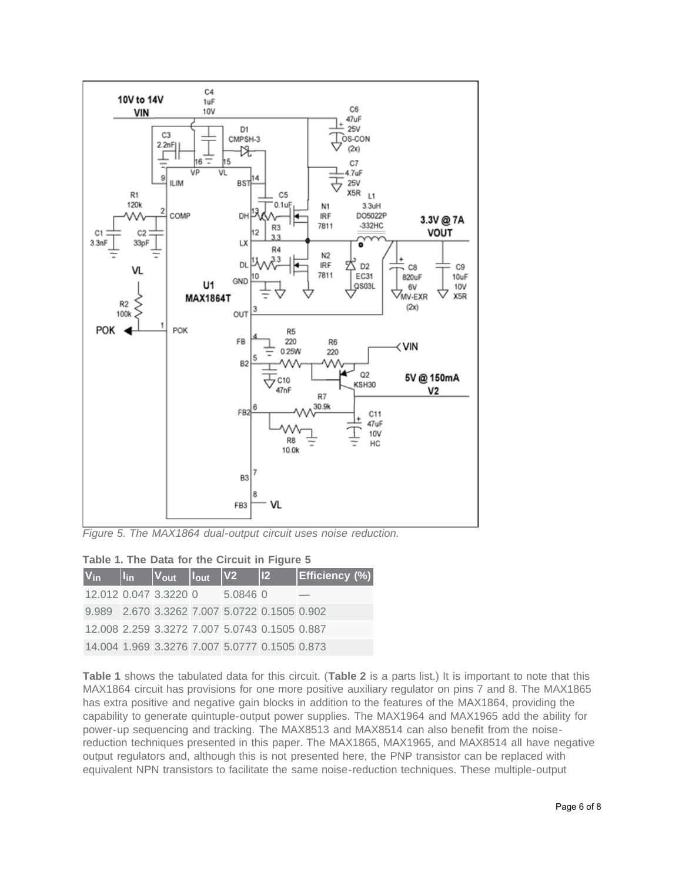

*Figure 5. The MAX1864 dual-output circuit uses noise reduction.* 

| Table 1. The Data for the Circuit in Figure 5 |  |  |  |  |  |
|-----------------------------------------------|--|--|--|--|--|
|-----------------------------------------------|--|--|--|--|--|

| $ V_{in} $ | <u>lin</u> | $ V_{\text{out}} $    | $I_{\text{out}}$ | $\sqrt{V2}$ | $ 12\rangle$                                  | <b>Efficiency (%)</b> |
|------------|------------|-----------------------|------------------|-------------|-----------------------------------------------|-----------------------|
|            |            | 12.012 0.047 3.3220 0 |                  | 5.0846 0    |                                               |                       |
|            |            |                       |                  |             | 9.989 2.670 3.3262 7.007 5.0722 0.1505 0.902  |                       |
|            |            |                       |                  |             | 12.008 2.259 3.3272 7.007 5.0743 0.1505 0.887 |                       |
|            |            |                       |                  |             | 14.004 1.969 3.3276 7.007 5.0777 0.1505 0.873 |                       |

**Table 1** shows the tabulated data for this circuit. (**Table 2** is a parts list.) It is important to note that this MAX1864 circuit has provisions for one more positive auxiliary regulator on pins 7 and 8. The MAX1865 has extra positive and negative gain blocks in addition to the features of the MAX1864, providing the capability to generate quintuple-output power supplies. The MAX1964 and MAX1965 add the ability for power-up sequencing and tracking. The MAX8513 and MAX8514 can also benefit from the noisereduction techniques presented in this paper. The MAX1865, MAX1965, and MAX8514 all have negative output regulators and, although this is not presented here, the PNP transistor can be replaced with equivalent NPN transistors to facilitate the same noise-reduction techniques. These multiple-output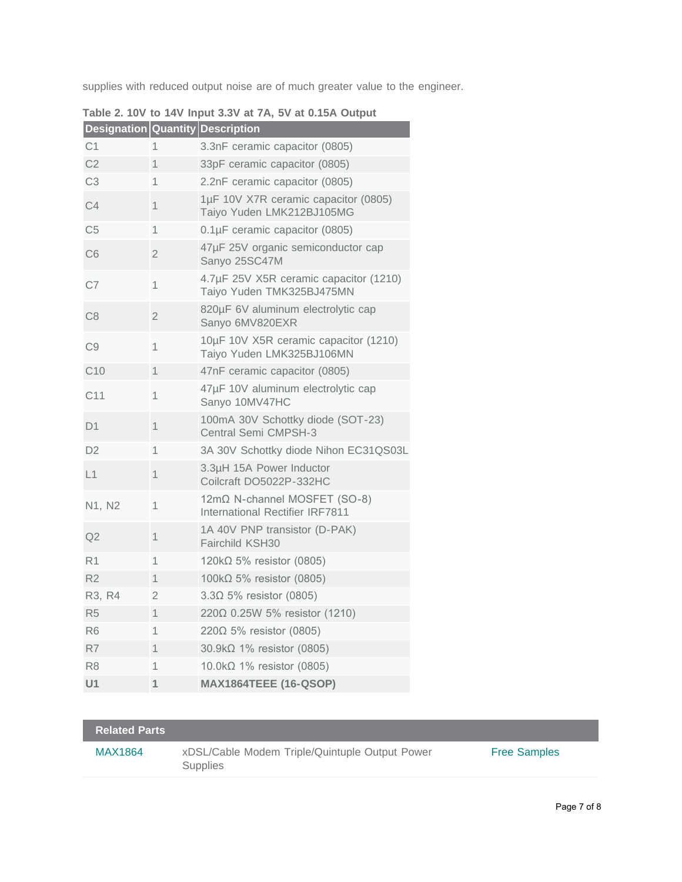supplies with reduced output noise are of much greater value to the engineer.

| Designation Quantity Description |                |                                                                        |
|----------------------------------|----------------|------------------------------------------------------------------------|
| C <sub>1</sub>                   | 1              | 3.3nF ceramic capacitor (0805)                                         |
| C <sub>2</sub>                   | 1              | 33pF ceramic capacitor (0805)                                          |
| C <sub>3</sub>                   | 1              | 2.2nF ceramic capacitor (0805)                                         |
| C <sub>4</sub>                   | 1              | 1µF 10V X7R ceramic capacitor (0805)<br>Taiyo Yuden LMK212BJ105MG      |
| C <sub>5</sub>                   | 1              | 0.1µF ceramic capacitor (0805)                                         |
| C6                               | $\overline{2}$ | 47µF 25V organic semiconductor cap<br>Sanyo 25SC47M                    |
| C7                               | 1              | 4.7µF 25V X5R ceramic capacitor (1210)<br>Taiyo Yuden TMK325BJ475MN    |
| C <sub>8</sub>                   | $\overline{2}$ | 820µF 6V aluminum electrolytic cap<br>Sanyo 6MV820EXR                  |
| C <sub>9</sub>                   | 1              | 10µF 10V X5R ceramic capacitor (1210)<br>Taiyo Yuden LMK325BJ106MN     |
| C <sub>10</sub>                  | 1              | 47nF ceramic capacitor (0805)                                          |
| C11                              | 1              | 47µF 10V aluminum electrolytic cap<br>Sanyo 10MV47HC                   |
| D <sub>1</sub>                   | 1              | 100mA 30V Schottky diode (SOT-23)<br>Central Semi CMPSH-3              |
| D <sub>2</sub>                   | 1              | 3A 30V Schottky diode Nihon EC31QS03L                                  |
| L1                               | 1              | 3.3µH 15A Power Inductor<br>Coilcraft DO5022P-332HC                    |
| N1, N2                           | 1              | 12mΩ N-channel MOSFET (SO-8)<br><b>International Rectifier IRF7811</b> |
| Q2                               | 1              | 1A 40V PNP transistor (D-PAK)<br>Fairchild KSH30                       |
| R <sub>1</sub>                   | 1              | 120 $k\Omega$ 5% resistor (0805)                                       |
| R <sub>2</sub>                   | 1              | 100k $\Omega$ 5% resistor (0805)                                       |
| R3, R4                           | 2              | $3.3\Omega$ 5% resistor (0805)                                         |
| R <sub>5</sub>                   | 1              | 220Ω 0.25W 5% resistor (1210)                                          |
| R <sub>6</sub>                   | 1              | 220Ω 5% resistor (0805)                                                |
| R7                               | 1              | 30.9kΩ 1% resistor (0805)                                              |
| R <sub>8</sub>                   | 1              | $10.0$ k $\Omega$ 1% resistor (0805)                                   |
| U <sub>1</sub>                   | $\mathbf{1}$   | <b>MAX1864TEEE (16-QSOP)</b>                                           |

|  |  |  | Table 2. 10V to 14V Input 3.3V at 7A, 5V at 0.15A Output |  |  |  |  |  |
|--|--|--|----------------------------------------------------------|--|--|--|--|--|
|--|--|--|----------------------------------------------------------|--|--|--|--|--|

| <b>Related Parts</b> |                                                                   |                     |
|----------------------|-------------------------------------------------------------------|---------------------|
| MAX1864              | xDSL/Cable Modem Triple/Quintuple Output Power<br><b>Supplies</b> | <b>Free Samples</b> |
|                      |                                                                   |                     |